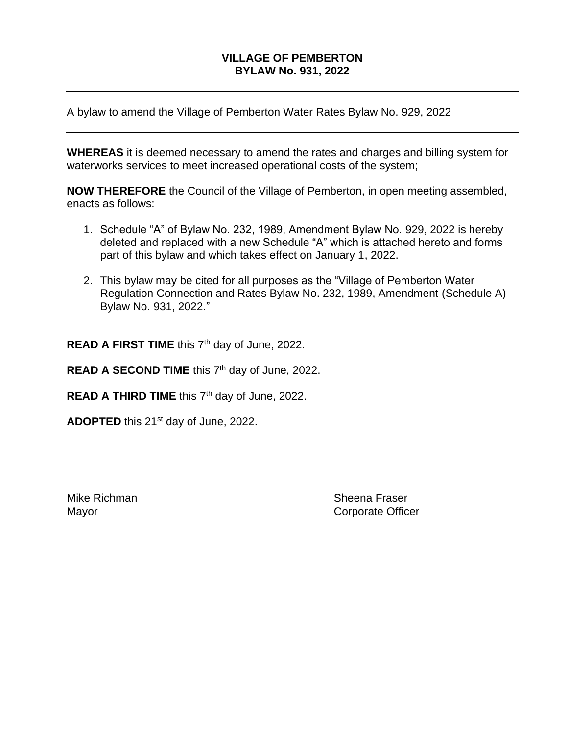## **VILLAGE OF PEMBERTON BYLAW No. 931, 2022**

A bylaw to amend the Village of Pemberton Water Rates Bylaw No. 929, 2022

**WHEREAS** it is deemed necessary to amend the rates and charges and billing system for waterworks services to meet increased operational costs of the system;

**NOW THEREFORE** the Council of the Village of Pemberton, in open meeting assembled, enacts as follows:

- 1. Schedule "A" of Bylaw No. 232, 1989, Amendment Bylaw No. 929, 2022 is hereby deleted and replaced with a new Schedule "A" which is attached hereto and forms part of this bylaw and which takes effect on January 1, 2022.
- 2. This bylaw may be cited for all purposes as the "Village of Pemberton Water Regulation Connection and Rates Bylaw No. 232, 1989, Amendment (Schedule A) Bylaw No. 931, 2022."

**\_\_\_\_\_\_\_\_\_\_\_\_\_\_\_\_\_\_\_\_\_\_\_\_\_\_\_\_\_\_ \_\_\_\_\_\_\_\_\_\_\_\_\_\_\_\_\_\_\_\_\_\_\_\_\_\_\_\_\_**

**READ A FIRST TIME** this 7<sup>th</sup> day of June, 2022.

READ A SECOND TIME this 7<sup>th</sup> day of June, 2022.

READ A THIRD TIME this 7<sup>th</sup> day of June, 2022.

**ADOPTED** this 21<sup>st</sup> day of June, 2022.

Mike Richman Sheena Fraser Mayor **Corporate Officer**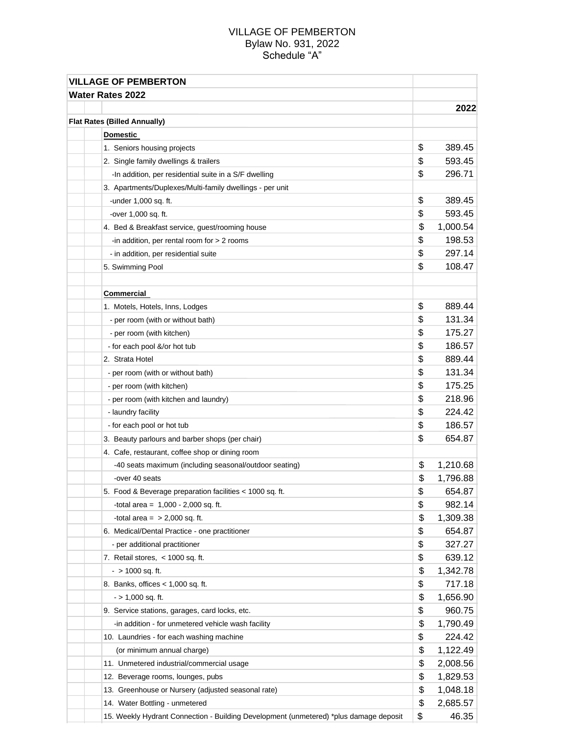## VILLAGE OF PEMBERTON Bylaw No. 931, 2022 Schedule "A"

| <b>VILLAGE OF PEMBERTON</b>                                                           |                |
|---------------------------------------------------------------------------------------|----------------|
| <b>Water Rates 2022</b>                                                               |                |
|                                                                                       | 2022           |
| <b>Flat Rates (Billed Annually)</b>                                                   |                |
| <b>Domestic</b>                                                                       |                |
| 1. Seniors housing projects                                                           | \$<br>389.45   |
| 2. Single family dwellings & trailers                                                 | \$<br>593.45   |
| -In addition, per residential suite in a S/F dwelling                                 | \$<br>296.71   |
| 3. Apartments/Duplexes/Multi-family dwellings - per unit                              |                |
| -under $1,000$ sq. ft.                                                                | \$<br>389.45   |
| -over 1,000 sq. ft.                                                                   | \$<br>593.45   |
| 4. Bed & Breakfast service, guest/rooming house                                       | \$<br>1,000.54 |
| -in addition, per rental room for > 2 rooms                                           | \$<br>198.53   |
| - in addition, per residential suite                                                  | \$<br>297.14   |
| 5. Swimming Pool                                                                      | \$<br>108.47   |
|                                                                                       |                |
| <b>Commercial</b>                                                                     |                |
| 1. Motels, Hotels, Inns, Lodges                                                       | \$<br>889.44   |
| - per room (with or without bath)                                                     | \$<br>131.34   |
| - per room (with kitchen)                                                             | \$<br>175.27   |
| - for each pool &/or hot tub                                                          | \$<br>186.57   |
| 2. Strata Hotel                                                                       | \$<br>889.44   |
| - per room (with or without bath)                                                     | \$<br>131.34   |
| - per room (with kitchen)                                                             | \$<br>175.25   |
| - per room (with kitchen and laundry)                                                 | \$<br>218.96   |
| - laundry facility                                                                    | \$<br>224.42   |
| - for each pool or hot tub                                                            | \$<br>186.57   |
| 3. Beauty parlours and barber shops (per chair)                                       | \$<br>654.87   |
| 4. Cafe, restaurant, coffee shop or dining room                                       |                |
| -40 seats maximum (including seasonal/outdoor seating)                                | \$<br>1,210.68 |
| -over 40 seats                                                                        | \$<br>1,796.88 |
| 5. Food & Beverage preparation facilities < 1000 sq. ft.                              | \$<br>654.87   |
| -total area = $1,000 - 2,000$ sq. ft.                                                 | \$<br>982.14   |
| -total area $=$ > 2,000 sq. ft.                                                       | \$<br>1,309.38 |
| 6. Medical/Dental Practice - one practitioner                                         | \$<br>654.87   |
| - per additional practitioner                                                         | \$<br>327.27   |
| 7. Retail stores, $<$ 1000 sq. ft.                                                    | \$<br>639.12   |
| $-$ > 1000 sq. ft.                                                                    | \$<br>1,342.78 |
| 8. Banks, offices < 1,000 sq. ft.                                                     | \$<br>717.18   |
| $-$ > 1,000 sq. ft.                                                                   | \$<br>1,656.90 |
| 9. Service stations, garages, card locks, etc.                                        | \$<br>960.75   |
| -in addition - for unmetered vehicle wash facility                                    | \$<br>1,790.49 |
| 10. Laundries - for each washing machine                                              | \$<br>224.42   |
| (or minimum annual charge)                                                            | \$<br>1,122.49 |
| 11. Unmetered industrial/commercial usage                                             | \$<br>2,008.56 |
| 12. Beverage rooms, lounges, pubs                                                     | \$<br>1,829.53 |
| 13. Greenhouse or Nursery (adjusted seasonal rate)                                    | \$<br>1,048.18 |
| 14. Water Bottling - unmetered                                                        | \$<br>2,685.57 |
| 15. Weekly Hydrant Connection - Building Development (unmetered) *plus damage deposit | \$<br>46.35    |